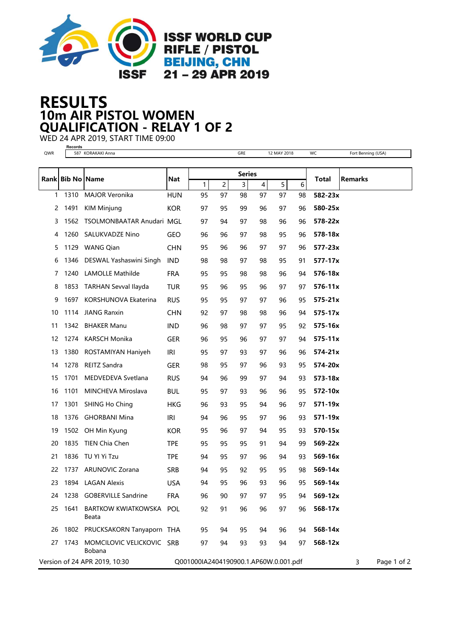

## 10m AIR PISTOL WOMEN RESULTS QUALIFICATION - RELAY 1 OF 2

WED 24 APR 2019, START TIME 09:00 **Records**

| QWR |             | 587 KORAKAKI Anna                        |                                       |              |    | GRE |                | 12 MAY 2018 |    | WC               | Fort Benning (USA) |
|-----|-------------|------------------------------------------|---------------------------------------|--------------|----|-----|----------------|-------------|----|------------------|--------------------|
|     |             |                                          |                                       |              |    |     |                |             |    |                  |                    |
|     | Rank Bib No | <b>Name</b>                              | Nat                                   | Series       |    |     |                |             |    | <b>Total</b>     | <b>Remarks</b>     |
|     |             |                                          |                                       | $\mathbf{1}$ | 2  | 3   | $\overline{4}$ | 5           | 6  |                  |                    |
| 1   | 1310        | <b>MAJOR Veronika</b>                    | <b>HUN</b>                            | 95           | 97 | 98  | 97             | 97          | 98 | 582-23x          |                    |
| 2   | 1491        | <b>KIM Minjung</b>                       | <b>KOR</b>                            | 97           | 95 | 99  | 96             | 97          | 96 | 580-25x          |                    |
| 3   |             | 1562 TSOLMONBAATAR Anudari MGL           |                                       | 97           | 94 | 97  | 98             | 96          | 96 | 578-22x          |                    |
| 4   | 1260        | <b>SALUKVADZE Nino</b>                   | <b>GEO</b>                            | 96           | 96 | 97  | 98             | 95          | 96 | 578-18x          |                    |
| 5   |             | 1129 WANG Qian                           | <b>CHN</b>                            | 95           | 96 | 96  | 97             | 97          | 96 | 577-23x          |                    |
| 6   |             | 1346 DESWAL Yashaswini Singh             | <b>IND</b>                            | 98           | 98 | 97  | 98             | 95          | 91 | $577 - 17x$      |                    |
| 7   | 1240        | LAMOLLE Mathilde                         | <b>FRA</b>                            | 95           | 95 | 98  | 98             | 96          | 94 | 576-18x          |                    |
| 8   |             | 1853 TARHAN Sevval Ilayda                | TUR                                   | 95           | 96 | 95  | 96             | 97          | 97 | 576-11x          |                    |
| 9   | 1697        | KORSHUNOVA Ekaterina                     | <b>RUS</b>                            | 95           | 95 | 97  | 97             | 96          | 95 | $575 - 21x$      |                    |
| 10  |             | 1114 JIANG Ranxin                        | <b>CHN</b>                            | 92           | 97 | 98  | 98             | 96          | 94 | 575-17x          |                    |
| 11  | 1342        | <b>BHAKER Manu</b>                       | <b>IND</b>                            | 96           | 98 | 97  | 97             | 95          | 92 | 575-16x          |                    |
| 12  |             | 1274 KARSCH Monika                       | <b>GER</b>                            | 96           | 95 | 96  | 97             | 97          | 94 | $575 - 11x$      |                    |
| 13  |             | 1380 ROSTAMIYAN Haniyeh                  | IRI                                   | 95           | 97 | 93  | 97             | 96          | 96 | 574-21x          |                    |
| 14  |             | 1278 REITZ Sandra                        | <b>GER</b>                            | 98           | 95 | 97  | 96             | 93          | 95 | 574-20x          |                    |
| 15  | 1701        | MEDVEDEVA Svetlana                       | <b>RUS</b>                            | 94           | 96 | 99  | 97             | 94          | 93 | 573-18x          |                    |
| 16  | 1101        | MINCHEVA Miroslava                       | <b>BUL</b>                            | 95           | 97 | 93  | 96             | 96          | 95 | 572-10x          |                    |
| 17  | 1301        | <b>SHING Ho Ching</b>                    | HKG                                   | 96           | 93 | 95  | 94             | 96          | 97 | 571-19x          |                    |
| 18  |             | 1376 GHORBANI Mina                       | <b>IRI</b>                            | 94           | 96 | 95  | 97             | 96          | 93 | 571-19x          |                    |
| 19  |             | 1502 OH Min Kyung                        | <b>KOR</b>                            | 95           | 96 | 97  | 94             | 95          | 93 | 570-15x          |                    |
| 20  |             | 1835 TIEN Chia Chen                      | <b>TPE</b>                            | 95           | 95 | 95  | 91             | 94          | 99 | 569-22x          |                    |
| 21  | 1836        | TU YI Yi Tzu                             | <b>TPE</b>                            | 94           | 95 | 97  | 96             | 94          | 93 | 569-16x          |                    |
| 22  |             | 1737 ARUNOVIC Zorana                     | <b>SRB</b>                            | 94           | 95 | 92  | 95             | 95          | 98 | 569-14x          |                    |
| 23  |             | 1894 LAGAN Alexis                        | <b>USA</b>                            | 94           | 95 | 96  | 93             | 96          | 95 | 569-14x          |                    |
|     |             | 24 1238 GOBERVILLE Sandrine              | <b>FRA</b>                            | 96           | 90 | 97  | 97             | 95          | 94 | 569-12x          |                    |
| 25  | 1641        | BARTKOW KWIATKOWSKA POL<br>Beata         |                                       | 92           | 91 | 96  | 96             | 97          | 96 | 568-17x          |                    |
| 26  |             | 1802 PRUCKSAKORN Tanyaporn THA           |                                       | 95           | 94 | 95  | 94             | 96          | 94 | 568-14x          |                    |
| 27  |             | 1743 MOMCILOVIC VELICKOVIC SRB<br>Bobana |                                       | 97           | 94 | 93  | 93             | 94          | 97 | 568-12x          |                    |
|     |             | Version of 24 APR 2019, 10:30            | Q001000IA2404190900.1.AP60W.0.001.pdf |              |    |     |                |             |    | Page 1 of 2<br>3 |                    |